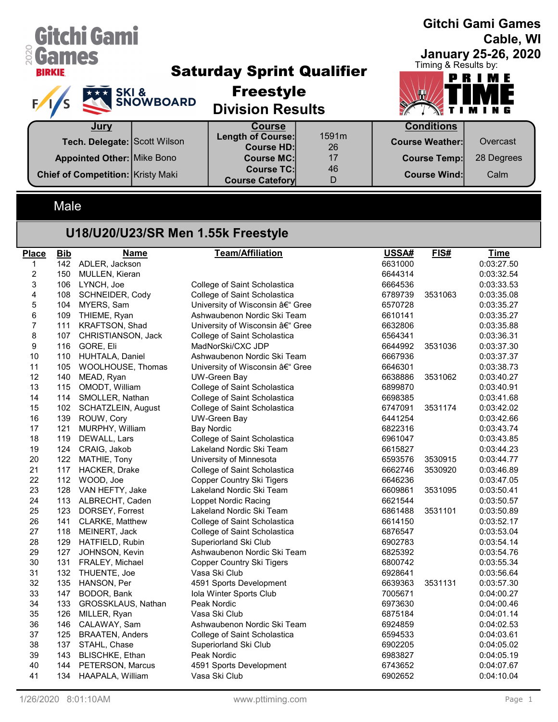| Gitchi Gami<br><b>&amp; Games</b><br><b>BIRKIE</b> | <b>EXAMPLE SKI &amp; SNOWBOARD</b> | <b>Saturday Sprint Qualifier</b><br><b>Freestyle</b><br><b>Division Results</b> |             | <b>Gitchi Gami Games</b><br>Cable, WI<br><b>January 25-26, 2020</b><br>Timing & Results by:<br>PRIME<br>NTIMING |            |  |
|----------------------------------------------------|------------------------------------|---------------------------------------------------------------------------------|-------------|-----------------------------------------------------------------------------------------------------------------|------------|--|
| Jury                                               |                                    | <b>Course</b>                                                                   |             | <b>Conditions</b>                                                                                               |            |  |
| Tech. Delegate: Scott Wilson                       |                                    | Length of Course:<br><b>Course HD:</b>                                          | 1591m<br>26 | <b>Course Weather:</b>                                                                                          | Overcast   |  |
| <b>Appointed Other: Mike Bono</b>                  |                                    | <b>Course MC:</b>                                                               | 17          | <b>Course Temp:</b>                                                                                             | 28 Degrees |  |
| <b>Chief of Competition: Kristy Maki</b>           |                                    | <b>Course TC:</b><br><b>Course Catefory</b>                                     | 46<br>D     | <b>Course Wind:</b>                                                                                             | Calm       |  |

## Male

## U18/U20/U23/SR Men 1.55k Freestyle

| <b>Place</b>            | <b>Bib</b> | <b>Name</b>            | <b>Team/Affiliation</b>          | USSA#   | FIS#    | <b>Time</b> |
|-------------------------|------------|------------------------|----------------------------------|---------|---------|-------------|
| $\mathbf{1}$            | 142        | ADLER, Jackson         |                                  | 6631000 |         | 0:03:27.50  |
| $\overline{\mathbf{c}}$ | 150        | MULLEN, Kieran         |                                  | 6644314 |         | 0:03:32.54  |
| 3                       | 106        | LYNCH, Joe             | College of Saint Scholastica     | 6664536 |         | 0:03:33.53  |
| 4                       | 108        | SCHNEIDER, Cody        | College of Saint Scholastica     | 6789739 | 3531063 | 0:03:35.08  |
| $\mathbf 5$             | 104        | MYERS, Sam             | University of Wisconsin – Gree   | 6570728 |         | 0:03:35.27  |
| 6                       | 109        | THIEME, Ryan           | Ashwaubenon Nordic Ski Team      | 6610141 |         | 0:03:35.27  |
| $\overline{7}$          | 111        | KRAFTSON, Shad         | University of Wisconsin – Gree   | 6632806 |         | 0:03:35.88  |
| 8                       | 107        | CHRISTIANSON, Jack     | College of Saint Scholastica     | 6564341 |         | 0:03:36.31  |
| 9                       | 116        | GORE, Eli              | MadNorSki/CXC JDP                | 6644992 | 3531036 | 0:03:37.30  |
| 10                      | 110        | HUHTALA, Daniel        | Ashwaubenon Nordic Ski Team      | 6667936 |         | 0:03:37.37  |
| 11                      | 105        | WOOLHOUSE, Thomas      | University of Wisconsin – Gree   | 6646301 |         | 0:03:38.73  |
| 12                      | 140        | MEAD, Ryan             | <b>UW-Green Bay</b>              | 6638886 | 3531062 | 0:03:40.27  |
| 13                      | 115        | OMODT, William         | College of Saint Scholastica     | 6899870 |         | 0:03:40.91  |
| 14                      | 114        | SMOLLER, Nathan        | College of Saint Scholastica     | 6698385 |         | 0:03:41.68  |
| 15                      | 102        | SCHATZLEIN, August     | College of Saint Scholastica     | 6747091 | 3531174 | 0:03:42.02  |
| 16                      | 139        | ROUW, Cory             | <b>UW-Green Bay</b>              | 6441254 |         | 0:03:42.66  |
| 17                      | 121        | MURPHY, William        | <b>Bay Nordic</b>                | 6822316 |         | 0:03:43.74  |
| 18                      | 119        | DEWALL, Lars           | College of Saint Scholastica     | 6961047 |         | 0:03:43.85  |
| 19                      | 124        | CRAIG, Jakob           | Lakeland Nordic Ski Team         | 6615827 |         | 0:03:44.23  |
| 20                      | 122        | MATHIE, Tony           | University of Minnesota          | 6593576 | 3530915 | 0:03:44.77  |
| 21                      | 117        | HACKER, Drake          | College of Saint Scholastica     | 6662746 | 3530920 | 0:03:46.89  |
| 22                      |            | 112 WOOD, Joe          | <b>Copper Country Ski Tigers</b> | 6646236 |         | 0:03:47.05  |
| 23                      | 128        | VAN HEFTY, Jake        | Lakeland Nordic Ski Team         | 6609861 | 3531095 | 0:03:50.41  |
| 24                      | 113        | ALBRECHT, Caden        | Loppet Nordic Racing             | 6621544 |         | 0:03:50.57  |
| 25                      | 123        | DORSEY, Forrest        | Lakeland Nordic Ski Team         | 6861488 | 3531101 | 0:03:50.89  |
| 26                      | 141        | CLARKE, Matthew        | College of Saint Scholastica     | 6614150 |         | 0:03:52.17  |
| 27                      | 118        | MEINERT, Jack          | College of Saint Scholastica     | 6876547 |         | 0:03:53.04  |
| 28                      | 129        | HATFIELD, Rubin        | Superiorland Ski Club            | 6902783 |         | 0:03:54.14  |
| 29                      | 127        | JOHNSON, Kevin         | Ashwaubenon Nordic Ski Team      | 6825392 |         | 0:03:54.76  |
| 30                      | 131        | FRALEY, Michael        | Copper Country Ski Tigers        | 6800742 |         | 0:03:55.34  |
| 31                      | 132        | THUENTE, Joe           | Vasa Ski Club                    | 6928641 |         | 0:03:56.64  |
| 32                      | 135        | HANSON, Per            | 4591 Sports Development          | 6639363 | 3531131 | 0:03:57.30  |
| 33                      | 147        | BODOR, Bank            | Iola Winter Sports Club          | 7005671 |         | 0:04:00.27  |
| 34                      | 133        | GROSSKLAUS, Nathan     | Peak Nordic                      | 6973630 |         | 0:04:00.46  |
| 35                      | 126        | MILLER, Ryan           | Vasa Ski Club                    | 6875184 |         | 0:04:01.14  |
| 36                      | 146        | CALAWAY, Sam           | Ashwaubenon Nordic Ski Team      | 6924859 |         | 0:04:02.53  |
| 37                      | 125        | <b>BRAATEN, Anders</b> | College of Saint Scholastica     | 6594533 |         | 0:04:03.61  |
| 38                      | 137        | STAHL, Chase           | Superiorland Ski Club            | 6902205 |         | 0:04:05.02  |
| 39                      | 143        | <b>BLISCHKE, Ethan</b> | Peak Nordic                      | 6983827 |         | 0:04:05.19  |
| 40                      | 144        | PETERSON, Marcus       | 4591 Sports Development          | 6743652 |         | 0:04:07.67  |
| 41                      | 134        | HAAPALA, William       | Vasa Ski Club                    | 6902652 |         | 0:04:10.04  |